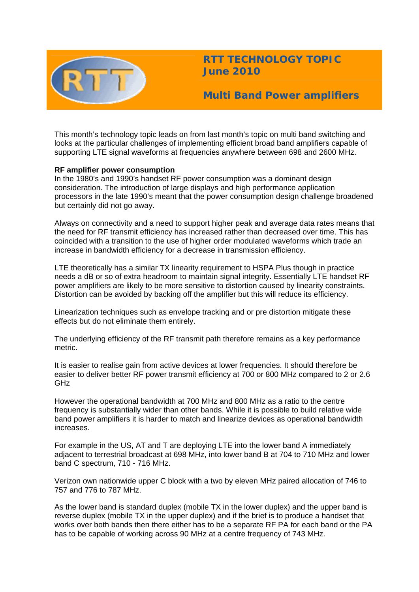

**RTT TECHNOLOGY TOPIC June 2010** 

**Multi Band Power amplifiers** 

This month's technology topic leads on from last month's topic on multi band switching and looks at the particular challenges of implementing efficient broad band amplifiers capable of supporting LTE signal waveforms at frequencies anywhere between 698 and 2600 MHz.

# **RF amplifier power consumption**

In the 1980's and 1990's handset RF power consumption was a dominant design consideration. The introduction of large displays and high performance application processors in the late 1990's meant that the power consumption design challenge broadened but certainly did not go away.

Always on connectivity and a need to support higher peak and average data rates means that the need for RF transmit efficiency has increased rather than decreased over time. This has coincided with a transition to the use of higher order modulated waveforms which trade an increase in bandwidth efficiency for a decrease in transmission efficiency.

LTE theoretically has a similar TX linearity requirement to HSPA Plus though in practice needs a dB or so of extra headroom to maintain signal integrity. Essentially LTE handset RF power amplifiers are likely to be more sensitive to distortion caused by linearity constraints. Distortion can be avoided by backing off the amplifier but this will reduce its efficiency.

Linearization techniques such as envelope tracking and or pre distortion mitigate these effects but do not eliminate them entirely.

The underlying efficiency of the RF transmit path therefore remains as a key performance metric.

It is easier to realise gain from active devices at lower frequencies. It should therefore be easier to deliver better RF power transmit efficiency at 700 or 800 MHz compared to 2 or 2.6 GHz

However the operational bandwidth at 700 MHz and 800 MHz as a ratio to the centre frequency is substantially wider than other bands. While it is possible to build relative wide band power amplifiers it is harder to match and linearize devices as operational bandwidth increases.

For example in the US, AT and T are deploying LTE into the lower band A immediately adjacent to terrestrial broadcast at 698 MHz, into lower band B at 704 to 710 MHz and lower band C spectrum, 710 - 716 MHz.

Verizon own nationwide upper C block with a two by eleven MHz paired allocation of 746 to 757 and 776 to 787 MHz.

As the lower band is standard duplex (mobile TX in the lower duplex) and the upper band is reverse duplex (mobile TX in the upper duplex) and if the brief is to produce a handset that works over both bands then there either has to be a separate RF PA for each band or the PA has to be capable of working across 90 MHz at a centre frequency of 743 MHz.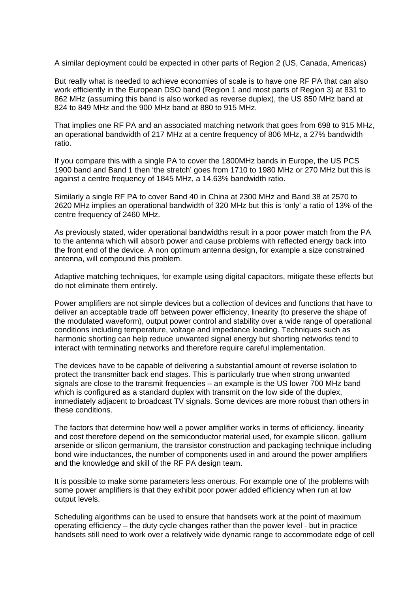A similar deployment could be expected in other parts of Region 2 (US, Canada, Americas)

But really what is needed to achieve economies of scale is to have one RF PA that can also work efficiently in the European DSO band (Region 1 and most parts of Region 3) at 831 to 862 MHz (assuming this band is also worked as reverse duplex), the US 850 MHz band at 824 to 849 MHz and the 900 MHz band at 880 to 915 MHz.

That implies one RF PA and an associated matching network that goes from 698 to 915 MHz, an operational bandwidth of 217 MHz at a centre frequency of 806 MHz, a 27% bandwidth ratio.

If you compare this with a single PA to cover the 1800MHz bands in Europe, the US PCS 1900 band and Band 1 then 'the stretch' goes from 1710 to 1980 MHz or 270 MHz but this is against a centre frequency of 1845 MHz, a 14.63% bandwidth ratio.

Similarly a single RF PA to cover Band 40 in China at 2300 MHz and Band 38 at 2570 to 2620 MHz implies an operational bandwidth of 320 MHz but this is 'only' a ratio of 13% of the centre frequency of 2460 MHz.

As previously stated, wider operational bandwidths result in a poor power match from the PA to the antenna which will absorb power and cause problems with reflected energy back into the front end of the device. A non optimum antenna design, for example a size constrained antenna, will compound this problem.

Adaptive matching techniques, for example using digital capacitors, mitigate these effects but do not eliminate them entirely.

Power amplifiers are not simple devices but a collection of devices and functions that have to deliver an acceptable trade off between power efficiency, linearity (to preserve the shape of the modulated waveform), output power control and stability over a wide range of operational conditions including temperature, voltage and impedance loading. Techniques such as harmonic shorting can help reduce unwanted signal energy but shorting networks tend to interact with terminating networks and therefore require careful implementation.

The devices have to be capable of delivering a substantial amount of reverse isolation to protect the transmitter back end stages. This is particularly true when strong unwanted signals are close to the transmit frequencies – an example is the US lower 700 MHz band which is configured as a standard duplex with transmit on the low side of the duplex, immediately adjacent to broadcast TV signals. Some devices are more robust than others in these conditions.

The factors that determine how well a power amplifier works in terms of efficiency, linearity and cost therefore depend on the semiconductor material used, for example silicon, gallium arsenide or silicon germanium, the transistor construction and packaging technique including bond wire inductances, the number of components used in and around the power amplifiers and the knowledge and skill of the RF PA design team.

It is possible to make some parameters less onerous. For example one of the problems with some power amplifiers is that they exhibit poor power added efficiency when run at low output levels.

Scheduling algorithms can be used to ensure that handsets work at the point of maximum operating efficiency – the duty cycle changes rather than the power level - but in practice handsets still need to work over a relatively wide dynamic range to accommodate edge of cell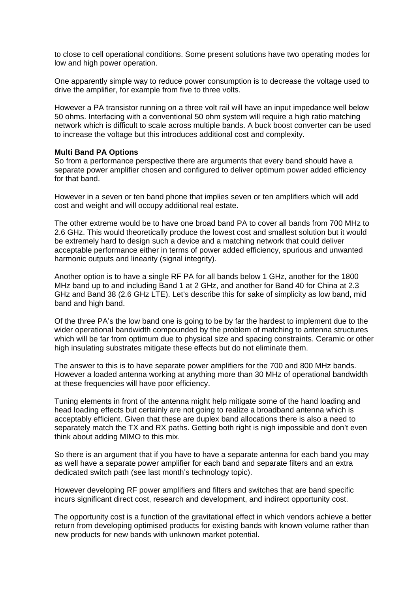to close to cell operational conditions. Some present solutions have two operating modes for low and high power operation.

One apparently simple way to reduce power consumption is to decrease the voltage used to drive the amplifier, for example from five to three volts.

However a PA transistor running on a three volt rail will have an input impedance well below 50 ohms. Interfacing with a conventional 50 ohm system will require a high ratio matching network which is difficult to scale across multiple bands. A buck boost converter can be used to increase the voltage but this introduces additional cost and complexity.

#### **Multi Band PA Options**

So from a performance perspective there are arguments that every band should have a separate power amplifier chosen and configured to deliver optimum power added efficiency for that band.

However in a seven or ten band phone that implies seven or ten amplifiers which will add cost and weight and will occupy additional real estate.

The other extreme would be to have one broad band PA to cover all bands from 700 MHz to 2.6 GHz. This would theoretically produce the lowest cost and smallest solution but it would be extremely hard to design such a device and a matching network that could deliver acceptable performance either in terms of power added efficiency, spurious and unwanted harmonic outputs and linearity (signal integrity).

Another option is to have a single RF PA for all bands below 1 GHz, another for the 1800 MHz band up to and including Band 1 at 2 GHz, and another for Band 40 for China at 2.3 GHz and Band 38 (2.6 GHz LTE). Let's describe this for sake of simplicity as low band, mid band and high band.

Of the three PA's the low band one is going to be by far the hardest to implement due to the wider operational bandwidth compounded by the problem of matching to antenna structures which will be far from optimum due to physical size and spacing constraints. Ceramic or other high insulating substrates mitigate these effects but do not eliminate them.

The answer to this is to have separate power amplifiers for the 700 and 800 MHz bands. However a loaded antenna working at anything more than 30 MHz of operational bandwidth at these frequencies will have poor efficiency.

Tuning elements in front of the antenna might help mitigate some of the hand loading and head loading effects but certainly are not going to realize a broadband antenna which is acceptably efficient. Given that these are duplex band allocations there is also a need to separately match the TX and RX paths. Getting both right is nigh impossible and don't even think about adding MIMO to this mix.

So there is an argument that if you have to have a separate antenna for each band you may as well have a separate power amplifier for each band and separate filters and an extra dedicated switch path (see last month's technology topic).

However developing RF power amplifiers and filters and switches that are band specific incurs significant direct cost, research and development, and indirect opportunity cost.

The opportunity cost is a function of the gravitational effect in which vendors achieve a better return from developing optimised products for existing bands with known volume rather than new products for new bands with unknown market potential.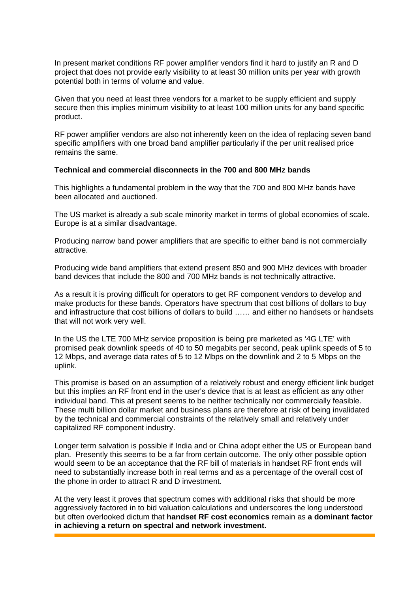In present market conditions RF power amplifier vendors find it hard to justify an R and D project that does not provide early visibility to at least 30 million units per year with growth potential both in terms of volume and value.

Given that you need at least three vendors for a market to be supply efficient and supply secure then this implies minimum visibility to at least 100 million units for any band specific product.

RF power amplifier vendors are also not inherently keen on the idea of replacing seven band specific amplifiers with one broad band amplifier particularly if the per unit realised price remains the same.

### **Technical and commercial disconnects in the 700 and 800 MHz bands**

This highlights a fundamental problem in the way that the 700 and 800 MHz bands have been allocated and auctioned.

The US market is already a sub scale minority market in terms of global economies of scale. Europe is at a similar disadvantage.

Producing narrow band power amplifiers that are specific to either band is not commercially attractive.

Producing wide band amplifiers that extend present 850 and 900 MHz devices with broader band devices that include the 800 and 700 MHz bands is not technically attractive.

As a result it is proving difficult for operators to get RF component vendors to develop and make products for these bands. Operators have spectrum that cost billions of dollars to buy and infrastructure that cost billions of dollars to build …… and either no handsets or handsets that will not work very well.

In the US the LTE 700 MHz service proposition is being pre marketed as '4G LTE' with promised peak downlink speeds of 40 to 50 megabits per second, peak uplink speeds of 5 to 12 Mbps, and average data rates of 5 to 12 Mbps on the downlink and 2 to 5 Mbps on the uplink.

This promise is based on an assumption of a relatively robust and energy efficient link budget but this implies an RF front end in the user's device that is at least as efficient as any other individual band. This at present seems to be neither technically nor commercially feasible. These multi billion dollar market and business plans are therefore at risk of being invalidated by the technical and commercial constraints of the relatively small and relatively under capitalized RF component industry.

Longer term salvation is possible if India and or China adopt either the US or European band plan. Presently this seems to be a far from certain outcome. The only other possible option would seem to be an acceptance that the RF bill of materials in handset RF front ends will need to substantially increase both in real terms and as a percentage of the overall cost of the phone in order to attract R and D investment.

At the very least it proves that spectrum comes with additional risks that should be more aggressively factored in to bid valuation calculations and underscores the long understood but often overlooked dictum that **handset RF cost economics** remain as **a dominant factor in achieving a return on spectral and network investment.**